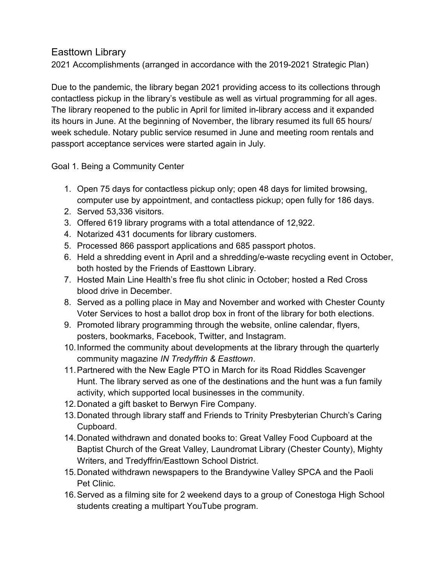## Easttown Library

2021 Accomplishments (arranged in accordance with the 2019-2021 Strategic Plan)

Due to the pandemic, the library began 2021 providing access to its collections through contactless pickup in the library's vestibule as well as virtual programming for all ages. The library reopened to the public in April for limited in-library access and it expanded its hours in June. At the beginning of November, the library resumed its full 65 hours/ week schedule. Notary public service resumed in June and meeting room rentals and passport acceptance services were started again in July.

Goal 1. Being a Community Center

- 1. Open 75 days for contactless pickup only; open 48 days for limited browsing, computer use by appointment, and contactless pickup; open fully for 186 days.
- 2. Served 53,336 visitors.
- 3. Offered 619 library programs with a total attendance of 12,922.
- 4. Notarized 431 documents for library customers.
- 5. Processed 866 passport applications and 685 passport photos.
- 6. Held a shredding event in April and a shredding/e-waste recycling event in October, both hosted by the Friends of Easttown Library.
- 7. Hosted Main Line Health's free flu shot clinic in October; hosted a Red Cross blood drive in December.
- 8. Served as a polling place in May and November and worked with Chester County Voter Services to host a ballot drop box in front of the library for both elections.
- 9. Promoted library programming through the website, online calendar, flyers, posters, bookmarks, Facebook, Twitter, and Instagram.
- 10. Informed the community about developments at the library through the quarterly community magazine IN Tredyffrin & Easttown.
- 11. Partnered with the New Eagle PTO in March for its Road Riddles Scavenger Hunt. The library served as one of the destinations and the hunt was a fun family activity, which supported local businesses in the community.
- 12. Donated a gift basket to Berwyn Fire Company.
- 13. Donated through library staff and Friends to Trinity Presbyterian Church's Caring Cupboard.
- 14. Donated withdrawn and donated books to: Great Valley Food Cupboard at the Baptist Church of the Great Valley, Laundromat Library (Chester County), Mighty Writers, and Tredyffrin/Easttown School District.
- 15. Donated withdrawn newspapers to the Brandywine Valley SPCA and the Paoli Pet Clinic.
- 16. Served as a filming site for 2 weekend days to a group of Conestoga High School students creating a multipart YouTube program.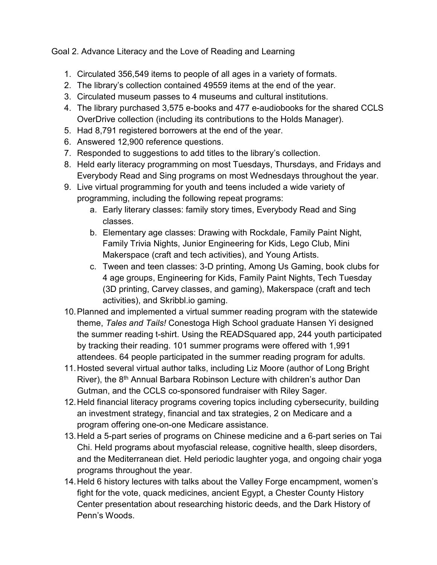Goal 2. Advance Literacy and the Love of Reading and Learning

- 1. Circulated 356,549 items to people of all ages in a variety of formats.
- 2. The library's collection contained 49559 items at the end of the year.
- 3. Circulated museum passes to 4 museums and cultural institutions.
- 4. The library purchased 3,575 e-books and 477 e-audiobooks for the shared CCLS OverDrive collection (including its contributions to the Holds Manager).
- 5. Had 8,791 registered borrowers at the end of the year.
- 6. Answered 12,900 reference questions.
- 7. Responded to suggestions to add titles to the library's collection.
- 8. Held early literacy programming on most Tuesdays, Thursdays, and Fridays and Everybody Read and Sing programs on most Wednesdays throughout the year.
- 9. Live virtual programming for youth and teens included a wide variety of programming, including the following repeat programs:
	- a. Early literary classes: family story times, Everybody Read and Sing classes.
	- b. Elementary age classes: Drawing with Rockdale, Family Paint Night, Family Trivia Nights, Junior Engineering for Kids, Lego Club, Mini Makerspace (craft and tech activities), and Young Artists.
	- c. Tween and teen classes: 3-D printing, Among Us Gaming, book clubs for 4 age groups, Engineering for Kids, Family Paint Nights, Tech Tuesday (3D printing, Carvey classes, and gaming), Makerspace (craft and tech activities), and Skribbl.io gaming.
- 10. Planned and implemented a virtual summer reading program with the statewide theme, Tales and Tails! Conestoga High School graduate Hansen Yi designed the summer reading t-shirt. Using the READSquared app, 244 youth participated by tracking their reading. 101 summer programs were offered with 1,991 attendees. 64 people participated in the summer reading program for adults.
- 11. Hosted several virtual author talks, including Liz Moore (author of Long Bright River), the 8<sup>th</sup> Annual Barbara Robinson Lecture with children's author Dan Gutman, and the CCLS co-sponsored fundraiser with Riley Sager.
- 12. Held financial literacy programs covering topics including cybersecurity, building an investment strategy, financial and tax strategies, 2 on Medicare and a program offering one-on-one Medicare assistance.
- 13. Held a 5-part series of programs on Chinese medicine and a 6-part series on Tai Chi. Held programs about myofascial release, cognitive health, sleep disorders, and the Mediterranean diet. Held periodic laughter yoga, and ongoing chair yoga programs throughout the year.
- 14. Held 6 history lectures with talks about the Valley Forge encampment, women's fight for the vote, quack medicines, ancient Egypt, a Chester County History Center presentation about researching historic deeds, and the Dark History of Penn's Woods.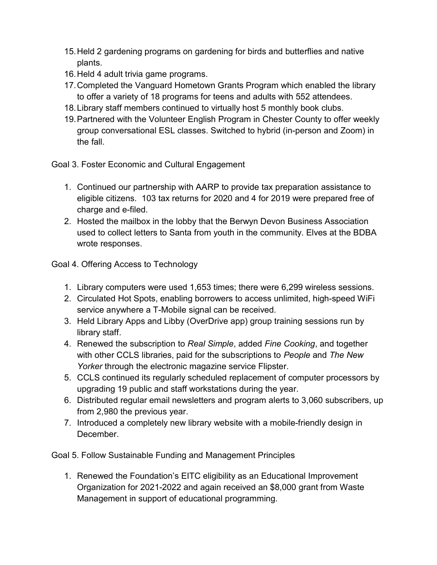- 15. Held 2 gardening programs on gardening for birds and butterflies and native plants.
- 16. Held 4 adult trivia game programs.
- 17. Completed the Vanguard Hometown Grants Program which enabled the library to offer a variety of 18 programs for teens and adults with 552 attendees.
- 18. Library staff members continued to virtually host 5 monthly book clubs.
- 19. Partnered with the Volunteer English Program in Chester County to offer weekly group conversational ESL classes. Switched to hybrid (in-person and Zoom) in the fall.

Goal 3. Foster Economic and Cultural Engagement

- 1. Continued our partnership with AARP to provide tax preparation assistance to eligible citizens. 103 tax returns for 2020 and 4 for 2019 were prepared free of charge and e-filed.
- 2. Hosted the mailbox in the lobby that the Berwyn Devon Business Association used to collect letters to Santa from youth in the community. Elves at the BDBA wrote responses.

Goal 4. Offering Access to Technology

- 1. Library computers were used 1,653 times; there were 6,299 wireless sessions.
- 2. Circulated Hot Spots, enabling borrowers to access unlimited, high-speed WiFi service anywhere a T-Mobile signal can be received.
- 3. Held Library Apps and Libby (OverDrive app) group training sessions run by library staff.
- 4. Renewed the subscription to Real Simple, added Fine Cooking, and together with other CCLS libraries, paid for the subscriptions to People and The New Yorker through the electronic magazine service Flipster.
- 5. CCLS continued its regularly scheduled replacement of computer processors by upgrading 19 public and staff workstations during the year.
- 6. Distributed regular email newsletters and program alerts to 3,060 subscribers, up from 2,980 the previous year.
- 7. Introduced a completely new library website with a mobile-friendly design in December.

Goal 5. Follow Sustainable Funding and Management Principles

1. Renewed the Foundation's EITC eligibility as an Educational Improvement Organization for 2021-2022 and again received an \$8,000 grant from Waste Management in support of educational programming.